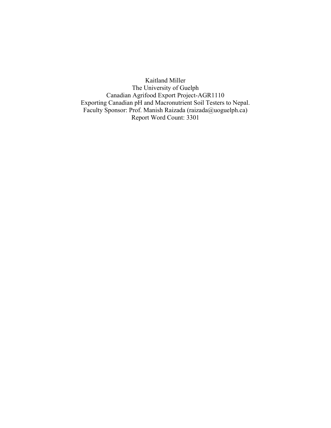Kaitland Miller The University of Guelph Canadian Agrifood Export Project-AGR1110 Exporting Canadian pH and Macronutrient Soil Testers to Nepal. Faculty Sponsor: Prof. Manish Raizada (raizada@uoguelph.ca) Report Word Count: 3301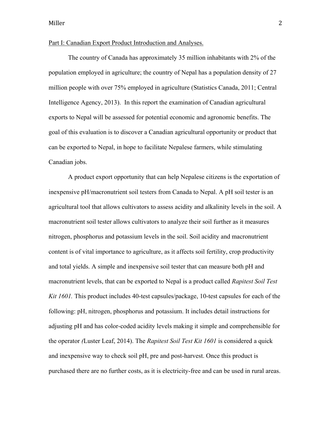#### Part I: Canadian Export Product Introduction and Analyses.

The country of Canada has approximately 35 million inhabitants with 2% of the population employed in agriculture; the country of Nepal has a population density of 27 million people with over 75% employed in agriculture (Statistics Canada, 2011; Central Intelligence Agency, 2013). In this report the examination of Canadian agricultural exports to Nepal will be assessed for potential economic and agronomic benefits. The goal of this evaluation is to discover a Canadian agricultural opportunity or product that can be exported to Nepal, in hope to facilitate Nepalese farmers, while stimulating Canadian jobs.

A product export opportunity that can help Nepalese citizens is the exportation of inexpensive pH/macronutrient soil testers from Canada to Nepal. A pH soil tester is an agricultural tool that allows cultivators to assess acidity and alkalinity levels in the soil. A macronutrient soil tester allows cultivators to analyze their soil further as it measures nitrogen, phosphorus and potassium levels in the soil. Soil acidity and macronutrient content is of vital importance to agriculture, as it affects soil fertility, crop productivity and total yields. A simple and inexpensive soil tester that can measure both pH and macronutrient levels, that can be exported to Nepal is a product called *Rapitest Soil Test Kit 1601.* This product includes 40-test capsules/package, 10-test capsules for each of the following: pH, nitrogen, phosphorus and potassium. It includes detail instructions for adjusting pH and has color-coded acidity levels making it simple and comprehensible for the operator *(*Luster Leaf, 2014). The *Rapitest Soil Test Kit 1601* is considered a quick and inexpensive way to check soil pH, pre and post-harvest. Once this product is purchased there are no further costs, as it is electricity-free and can be used in rural areas.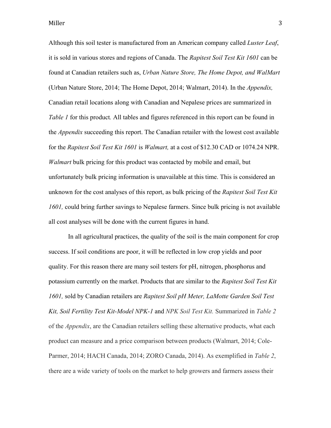Although this soil tester is manufactured from an American company called *Luster Leaf*, it is sold in various stores and regions of Canada. The *Rapitest Soil Test Kit 1601* can be found at Canadian retailers such as, *Urban Nature Store, The Home Depot, and WalMart* (Urban Nature Store, 2014; The Home Depot, 2014; Walmart, 2014). In the *Appendix,*  Canadian retail locations along with Canadian and Nepalese prices are summarized in *Table 1* for this product. All tables and figures referenced in this report can be found in the *Appendix* succeeding this report. The Canadian retailer with the lowest cost available for the *Rapitest Soil Test Kit 1601* is *Walmart,* at a cost of \$12.30 CAD or 1074.24 NPR. *Walmart* bulk pricing for this product was contacted by mobile and email, but unfortunately bulk pricing information is unavailable at this time. This is considered an unknown for the cost analyses of this report, as bulk pricing of the *Rapitest Soil Test Kit 1601,* could bring further savings to Nepalese farmers. Since bulk pricing is not available all cost analyses will be done with the current figures in hand.

In all agricultural practices, the quality of the soil is the main component for crop success. If soil conditions are poor, it will be reflected in low crop yields and poor quality. For this reason there are many soil testers for pH, nitrogen, phosphorus and potassium currently on the market. Products that are similar to the *Rapitest Soil Test Kit 1601,* sold by Canadian retailers are *Rapitest Soil pH Meter, LaMotte Garden Soil Test Kit, Soil Fertility Test Kit-Model NPK-1* and *NPK Soil Test Kit.* Summarized in *Table 2* of the *Appendix*, are the Canadian retailers selling these alternative products, what each product can measure and a price comparison between products (Walmart, 2014; Cole-Parmer, 2014; HACH Canada, 2014; ZORO Canada, 2014). As exemplified in *Table 2*, there are a wide variety of tools on the market to help growers and farmers assess their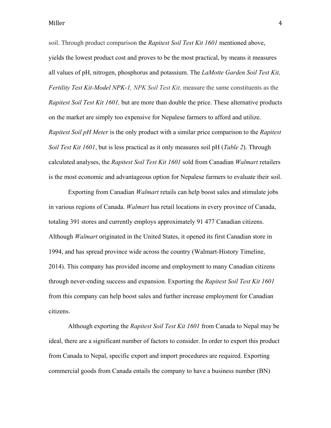soil. Through product comparison the *Rapitest Soil Test Kit 1601* mentioned above, yields the lowest product cost and proves to be the most practical, by means it measures all values of pH, nitrogen, phosphorus and potassium. The *LaMotte Garden Soil Test Kit, Fertility Test Kit-Model NPK-1, NPK Soil Test Kit,* measure the same constituents as the *Rapitest Soil Test Kit 1601,* but are more than double the price. These alternative products on the market are simply too expensive for Nepalese farmers to afford and utilize. *Rapitest Soil pH Meter* is the only product with a similar price comparison to the *Rapitest Soil Test Kit 1601*, but is less practical as it only measures soil pH (*Table 2*). Through calculated analyses, the *Rapitest Soil Test Kit 1601* sold from Canadian *Walmart* retailers is the most economic and advantageous option for Nepalese farmers to evaluate their soil.

Exporting from Canadian *Walmart* retails can help boost sales and stimulate jobs in various regions of Canada. *Walmart* has retail locations in every province of Canada, totaling 391 stores and currently employs approximately 91 477 Canadian citizens. Although *Walmart* originated in the United States, it opened its first Canadian store in 1994, and has spread province wide across the country (Walmart-History Timeline, 2014). This company has provided income and employment to many Canadian citizens through never-ending success and expansion. Exporting the *Rapitest Soil Test Kit 1601* from this company can help boost sales and further increase employment for Canadian citizens.

Although exporting the *Rapitest Soil Test Kit 1601* from Canada to Nepal may be ideal, there are a significant number of factors to consider. In order to export this product from Canada to Nepal, specific export and import procedures are required. Exporting commercial goods from Canada entails the company to have a business number (BN)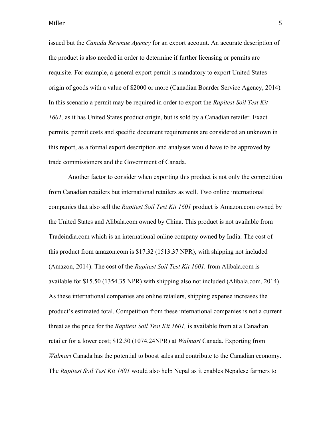issued but the *Canada Revenue Agency* for an export account. An accurate description of the product is also needed in order to determine if further licensing or permits are requisite. For example, a general export permit is mandatory to export United States origin of goods with a value of \$2000 or more (Canadian Boarder Service Agency, 2014)*.*  In this scenario a permit may be required in order to export the *Rapitest Soil Test Kit 1601,* as it has United States product origin, but is sold by a Canadian retailer. Exact permits, permit costs and specific document requirements are considered an unknown in this report, as a formal export description and analyses would have to be approved by trade commissioners and the Government of Canada.

Another factor to consider when exporting this product is not only the competition from Canadian retailers but international retailers as well. Two online international companies that also sell the *Rapitest Soil Test Kit 1601* product is Amazon.com owned by the United States and Alibala.com owned by China. This product is not available from Tradeindia.com which is an international online company owned by India. The cost of this product from amazon.com is \$17.32 (1513.37 NPR), with shipping not included (Amazon, 2014). The cost of the *Rapitest Soil Test Kit 1601,* from Alibala.com is available for \$15.50 (1354.35 NPR) with shipping also not included (Alibala.com, 2014). As these international companies are online retailers, shipping expense increases the product's estimated total. Competition from these international companies is not a current threat as the price for the *Rapitest Soil Test Kit 1601,* is available from at a Canadian retailer for a lower cost; \$12.30 (1074.24NPR) at *Walmart* Canada. Exporting from *Walmart* Canada has the potential to boost sales and contribute to the Canadian economy. The *Rapitest Soil Test Kit 1601* would also help Nepal as it enables Nepalese farmers to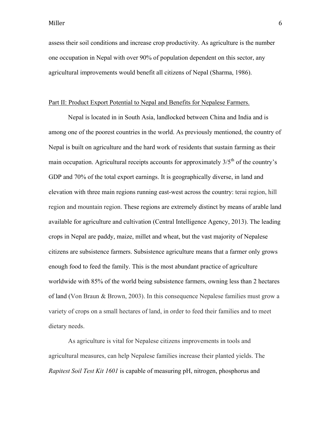assess their soil conditions and increase crop productivity. As agriculture is the number one occupation in Nepal with over 90% of population dependent on this sector, any agricultural improvements would benefit all citizens of Nepal (Sharma, 1986).

#### Part II: Product Export Potential to Nepal and Benefits for Nepalese Farmers.

Nepal is located in in South Asia, landlocked between China and India and is among one of the poorest countries in the world. As previously mentioned, the country of Nepal is built on agriculture and the hard work of residents that sustain farming as their main occupation. Agricultural receipts accounts for approximately  $3/5<sup>th</sup>$  of the country's GDP and 70% of the total export earnings. It is geographically diverse, in land and elevation with three main regions running east-west across the country: terai region, hill region and mountain region. These regions are extremely distinct by means of arable land available for agriculture and cultivation (Central Intelligence Agency, 2013). The leading crops in Nepal are paddy, maize, millet and wheat, but the vast majority of Nepalese citizens are subsistence farmers. Subsistence agriculture means that a farmer only grows enough food to feed the family. This is the most abundant practice of agriculture worldwide with 85% of the world being subsistence farmers, owning less than 2 hectares of land (Von Braun & Brown, 2003). In this consequence Nepalese families must grow a variety of crops on a small hectares of land, in order to feed their families and to meet dietary needs.

As agriculture is vital for Nepalese citizens improvements in tools and agricultural measures, can help Nepalese families increase their planted yields. The *Rapitest Soil Test Kit 1601* is capable of measuring pH, nitrogen, phosphorus and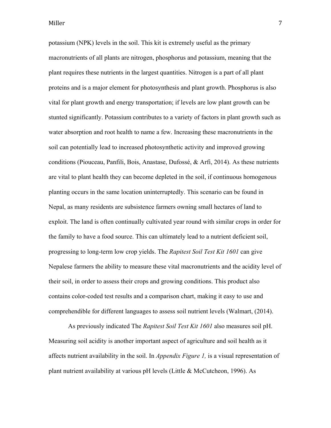potassium (NPK) levels in the soil. This kit is extremely useful as the primary macronutrients of all plants are nitrogen, phosphorus and potassium, meaning that the plant requires these nutrients in the largest quantities. Nitrogen is a part of all plant proteins and is a major element for photosynthesis and plant growth. Phosphorus is also vital for plant growth and energy transportation; if levels are low plant growth can be stunted significantly. Potassium contributes to a variety of factors in plant growth such as water absorption and root health to name a few. Increasing these macronutrients in the soil can potentially lead to increased photosynthetic activity and improved growing conditions (Piouceau, Panfili, Bois, Anastase, Dufossé, & Arfi, 2014). As these nutrients are vital to plant health they can become depleted in the soil, if continuous homogenous planting occurs in the same location uninterruptedly. This scenario can be found in Nepal, as many residents are subsistence farmers owning small hectares of land to exploit. The land is often continually cultivated year round with similar crops in order for the family to have a food source. This can ultimately lead to a nutrient deficient soil, progressing to long-term low crop yields. The *Rapitest Soil Test Kit 1601* can give Nepalese farmers the ability to measure these vital macronutrients and the acidity level of their soil, in order to assess their crops and growing conditions. This product also contains color-coded test results and a comparison chart, making it easy to use and comprehendible for different languages to assess soil nutrient levels (Walmart, (2014).

As previously indicated The *Rapitest Soil Test Kit 1601* also measures soil pH. Measuring soil acidity is another important aspect of agriculture and soil health as it affects nutrient availability in the soil. In *Appendix Figure 1,* is a visual representation of plant nutrient availability at various pH levels (Little & McCutcheon, 1996). As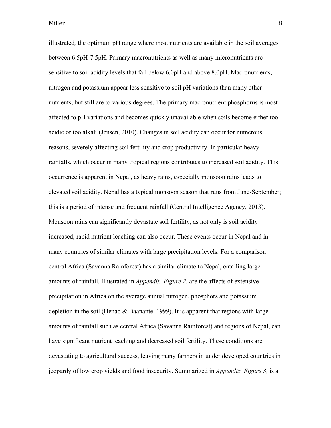illustrated*,* the optimum pH range where most nutrients are available in the soil averages between 6.5pH-7.5pH. Primary macronutrients as well as many micronutrients are sensitive to soil acidity levels that fall below 6.0pH and above 8.0pH. Macronutrients, nitrogen and potassium appear less sensitive to soil pH variations than many other nutrients, but still are to various degrees. The primary macronutrient phosphorus is most affected to pH variations and becomes quickly unavailable when soils become either too acidic or too alkali (Jensen, 2010). Changes in soil acidity can occur for numerous reasons, severely affecting soil fertility and crop productivity. In particular heavy rainfalls, which occur in many tropical regions contributes to increased soil acidity. This occurrence is apparent in Nepal, as heavy rains, especially monsoon rains leads to elevated soil acidity. Nepal has a typical monsoon season that runs from June-September; this is a period of intense and frequent rainfall (Central Intelligence Agency, 2013). Monsoon rains can significantly devastate soil fertility, as not only is soil acidity increased, rapid nutrient leaching can also occur. These events occur in Nepal and in many countries of similar climates with large precipitation levels. For a comparison central Africa (Savanna Rainforest) has a similar climate to Nepal, entailing large amounts of rainfall. Illustrated in *Appendix, Figure 2*, are the affects of extensive precipitation in Africa on the average annual nitrogen, phosphors and potassium depletion in the soil (Henao & Baanante, 1999). It is apparent that regions with large amounts of rainfall such as central Africa (Savanna Rainforest) and regions of Nepal, can have significant nutrient leaching and decreased soil fertility. These conditions are devastating to agricultural success, leaving many farmers in under developed countries in jeopardy of low crop yields and food insecurity. Summarized in *Appendix, Figure 3,* is a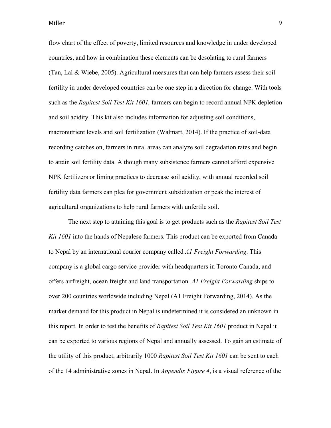flow chart of the effect of poverty, limited resources and knowledge in under developed countries, and how in combination these elements can be desolating to rural farmers (Tan, Lal & Wiebe, 2005). Agricultural measures that can help farmers assess their soil fertility in under developed countries can be one step in a direction for change. With tools such as the *Rapitest Soil Test Kit 1601,* farmers can begin to record annual NPK depletion and soil acidity. This kit also includes information for adjusting soil conditions, macronutrient levels and soil fertilization (Walmart, 2014). If the practice of soil-data recording catches on, farmers in rural areas can analyze soil degradation rates and begin to attain soil fertility data. Although many subsistence farmers cannot afford expensive NPK fertilizers or liming practices to decrease soil acidity, with annual recorded soil fertility data farmers can plea for government subsidization or peak the interest of agricultural organizations to help rural farmers with unfertile soil.

The next step to attaining this goal is to get products such as the *Rapitest Soil Test Kit 1601* into the hands of Nepalese farmers. This product can be exported from Canada to Nepal by an international courier company called *A1 Freight Forwarding*. This company is a global cargo service provider with headquarters in Toronto Canada, and offers airfreight, ocean freight and land transportation. *A1 Freight Forwarding* ships to over 200 countries worldwide including Nepal (A1 Freight Forwarding, 2014). As the market demand for this product in Nepal is undetermined it is considered an unknown in this report. In order to test the benefits of *Rapitest Soil Test Kit 1601* product in Nepal it can be exported to various regions of Nepal and annually assessed. To gain an estimate of the utility of this product, arbitrarily 1000 *Rapitest Soil Test Kit 1601* can be sent to each of the 14 administrative zones in Nepal. In *Appendix Figure 4*, is a visual reference of the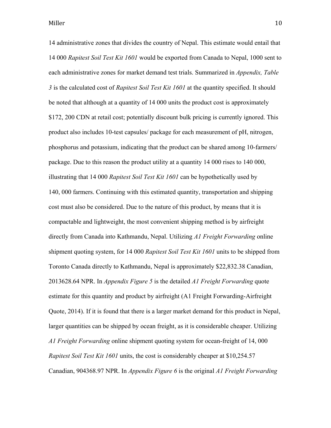14 administrative zones that divides the country of Nepal. This estimate would entail that 14 000 *Rapitest Soil Test Kit 1601* would be exported from Canada to Nepal, 1000 sent to each administrative zones for market demand test trials. Summarized in *Appendix, Table 3* is the calculated cost of *Rapitest Soil Test Kit 1601* at the quantity specified. It should be noted that although at a quantity of 14 000 units the product cost is approximately \$172, 200 CDN at retail cost; potentially discount bulk pricing is currently ignored. This product also includes 10-test capsules/ package for each measurement of pH, nitrogen, phosphorus and potassium, indicating that the product can be shared among 10-farmers/ package. Due to this reason the product utility at a quantity 14 000 rises to 140 000, illustrating that 14 000 *Rapitest Soil Test Kit 1601* can be hypothetically used by 140, 000 farmers. Continuing with this estimated quantity, transportation and shipping cost must also be considered. Due to the nature of this product, by means that it is compactable and lightweight, the most convenient shipping method is by airfreight directly from Canada into Kathmandu, Nepal. Utilizing *A1 Freight Forwarding* online shipment quoting system, for 14 000 *Rapitest Soil Test Kit 1601* units to be shipped from Toronto Canada directly to Kathmandu, Nepal is approximately \$22,832.38 Canadian, 2013628.64 NPR. In *Appendix Figure 5* is the detailed *A1 Freight Forwarding* quote estimate for this quantity and product by airfreight (A1 Freight Forwarding-Airfreight Quote, 2014). If it is found that there is a larger market demand for this product in Nepal, larger quantities can be shipped by ocean freight, as it is considerable cheaper. Utilizing *A1 Freight Forwarding* online shipment quoting system for ocean-freight of 14, 000 *Rapitest Soil Test Kit 1601* units, the cost is considerably cheaper at \$10,254.57 Canadian, 904368.97 NPR. In *Appendix Figure 6* is the original *A1 Freight Forwarding*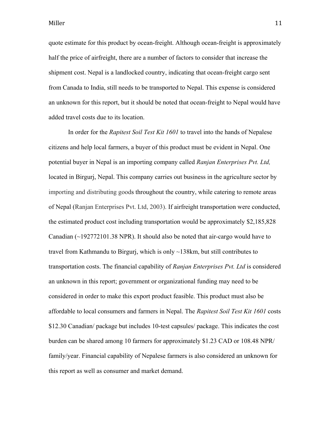quote estimate for this product by ocean-freight. Although ocean-freight is approximately half the price of airfreight, there are a number of factors to consider that increase the shipment cost. Nepal is a landlocked country, indicating that ocean-freight cargo sent from Canada to India, still needs to be transported to Nepal. This expense is considered an unknown for this report, but it should be noted that ocean-freight to Nepal would have added travel costs due to its location.

In order for the *Rapitest Soil Test Kit 1601* to travel into the hands of Nepalese citizens and help local farmers, a buyer of this product must be evident in Nepal. One potential buyer in Nepal is an importing company called *Ranjan Enterprises Pvt. Ltd,*  located in Birgurj, Nepal. This company carries out business in the agriculture sector by importing and distributing goods throughout the country, while catering to remote areas of Nepal (Ranjan Enterprises Pvt. Ltd, 2003). If airfreight transportation were conducted, the estimated product cost including transportation would be approximately \$2,185,828 Canadian  $\sim$  192772101.38 NPR). It should also be noted that air-cargo would have to travel from Kathmandu to Birgurj, which is only ~138km, but still contributes to transportation costs. The financial capability of *Ranjan Enterprises Pvt. Ltd* is considered an unknown in this report; government or organizational funding may need to be considered in order to make this export product feasible. This product must also be affordable to local consumers and farmers in Nepal. The *Rapitest Soil Test Kit 1601* costs \$12.30 Canadian/ package but includes 10-test capsules/ package. This indicates the cost burden can be shared among 10 farmers for approximately \$1.23 CAD or 108.48 NPR/ family/year. Financial capability of Nepalese farmers is also considered an unknown for this report as well as consumer and market demand.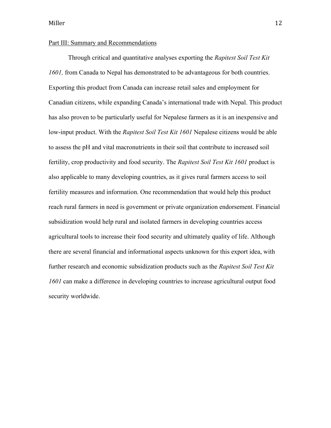### Part III: Summary and Recommendations

Through critical and quantitative analyses exporting the *Rapitest Soil Test Kit 1601,* from Canada to Nepal has demonstrated to be advantageous for both countries. Exporting this product from Canada can increase retail sales and employment for Canadian citizens, while expanding Canada's international trade with Nepal. This product has also proven to be particularly useful for Nepalese farmers as it is an inexpensive and low-input product. With the *Rapitest Soil Test Kit 1601* Nepalese citizens would be able to assess the pH and vital macronutrients in their soil that contribute to increased soil fertility, crop productivity and food security. The *Rapitest Soil Test Kit 1601* product is also applicable to many developing countries, as it gives rural farmers access to soil fertility measures and information. One recommendation that would help this product reach rural farmers in need is government or private organization endorsement. Financial subsidization would help rural and isolated farmers in developing countries access agricultural tools to increase their food security and ultimately quality of life. Although there are several financial and informational aspects unknown for this export idea, with further research and economic subsidization products such as the *Rapitest Soil Test Kit 1601* can make a difference in developing countries to increase agricultural output food security worldwide.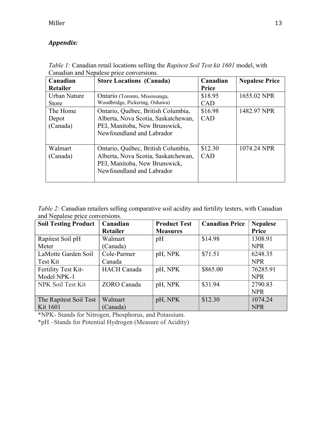# *Appendix:*

| Canadian<br>Retailer          | <b>Store Locations (Canada)</b>                                                                                                         | Canadian<br><b>Price</b> | <b>Nepalese Price</b> |
|-------------------------------|-----------------------------------------------------------------------------------------------------------------------------------------|--------------------------|-----------------------|
| Urban Nature<br><b>Store</b>  | Ontario (Toronto, Mississauga,<br>Woodbridge, Pickering, Oshawa)                                                                        | \$18.95<br><b>CAD</b>    | 1655.02 NPR           |
| The Home<br>Depot<br>(Canada) | Ontario, Québec, British Columbia,<br>Alberta, Nova Scotia, Saskatchewan,<br>PEI, Manitoba, New Brunswick,<br>Newfoundland and Labrador | \$16.98<br>CAD           | 1482.97 NPR           |
| Walmart<br>(Canada)           | Ontario, Québec, British Columbia,<br>Alberta, Nova Scotia, Saskatchewan,<br>PEI, Manitoba, New Brunswick,<br>Newfoundland and Labrador | \$12.30<br>CAD           | 1074.24 NPR           |

*Table 1:* Canadian retail locations selling the *Rapitest Soil Test kit 1601* model, with Canadian and Nepalese price conversions.

*Table 2:* Canadian retailers selling comparative soil acidity and fertility testers, with Canadian and Nepalese price conversions.

| <b>Soil Testing Product</b> | Canadian           | <b>Product Test</b> | <b>Canadian Price</b> | <b>Nepalese</b> |
|-----------------------------|--------------------|---------------------|-----------------------|-----------------|
|                             | <b>Retailer</b>    | <b>Measures</b>     |                       | Price           |
| Rapitest Soil pH            | Walmart            | pH                  | \$14.98               | 1308.91         |
| Meter                       | (Canada)           |                     |                       | <b>NPR</b>      |
| LaMotte Garden Soil         | Cole-Parmer        | pH, NPK             | \$71.51               | 6248.35         |
| Test Kit                    | Canada             |                     |                       | <b>NPR</b>      |
| Fertility Test Kit-         | <b>HACH</b> Canada | pH, NPK             | \$865.00              | 76285.91        |
| Model NPK-1                 |                    |                     |                       | <b>NPR</b>      |
| NPK Soil Test Kit           | <b>ZORO</b> Canada | pH, NPK             | \$31.94               | 2790.83         |
|                             |                    |                     |                       | <b>NPR</b>      |
| The Rapitest Soil Test      | Walmart            | pH, NPK             | \$12.30               | 1074.24         |
| <b>Kit 1601</b>             | (Canada)           |                     |                       | <b>NPR</b>      |

\*NPK- Stands for Nitrogen, Phosphorus, and Potassium.

\*pH –Stands for Potential Hydrogen (Measure of Acidity)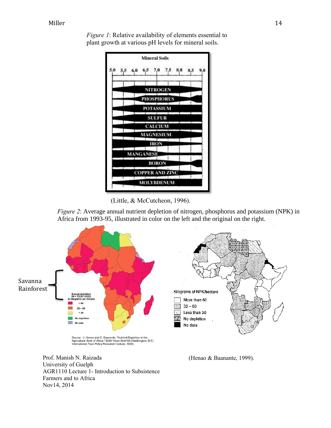

*Figure 1*: Relative availability of elements essential to plant growth at various pH levels for mineral soils.



*Figure 2*: Average annual nutrient depletion of nitrogen, phosphorus and potassium (NPK) in Africa from 1993-95, illustrated in color on the left and the original on the right.



Prof. Manish N. Raizada

University of Guelph

Farmers and to Africa

Nov14, 2014

AGR1110 Lecture 1- Introduction to Subsistence (Henao & Baanante, 1999).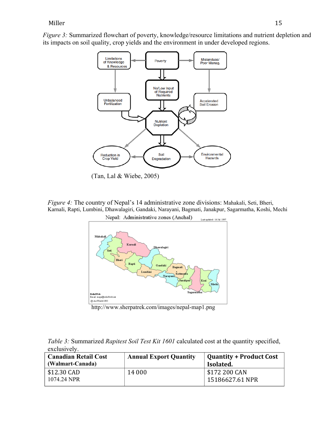*Figure 3:* Summarized flowchart of poverty, knowledge/resource limitations and nutrient depletion and its impacts on soil quality, crop yields and the environment in under developed regions.



(Tan, Lal & Wiebe, 2005)

*Figure 4:* The country of Nepal's 14 administrative zone divisions: Mahakali, Seti, Bheri, Karnali, Rapti, Lumbini, Dhawalagiri, Gandaki, Narayani, Bagmati, Janakpur, Sagarmatha, Koshi, Mechi



http://www.sherpatrek.com/images/nepal-map1.png

| Table 3: Summarized Rapitest Soil Test Kit 1601 calculated cost at the quantity specified, |  |  |
|--------------------------------------------------------------------------------------------|--|--|
| exclusively.                                                                               |  |  |

| <b>Canadian Retail Cost</b><br>(Walmart-Canada) | <b>Annual Export Quantity</b> | <b>Quantity + Product Cost</b><br>Isolated. |
|-------------------------------------------------|-------------------------------|---------------------------------------------|
| \$12.30 CAD<br>1074.24 NPR                      | 14 000                        | \$172 200 CAN<br>15186627.61 NPR            |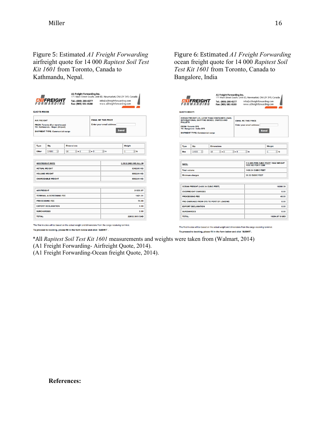Figure 5: Estimated *A1 Freight Forwarding* airfreight quote for 14 000 *Rapitest Soil Test Kit 1601* from Toronto, Canada to Kathmandu, Nepal.

|                                     | <b>ATTEREIGHT</b>                                                                                                 | A1 Freight Forwarding Inc.<br>Tel.: (800) 280-0277<br>Fax: (905) 581-0180 |                                                                        | 171 Main Street South, Unit 6D, Newmarket, ON L3Y 3Y9, Canada<br>info@a1freightforwarding.com<br>www.a1freightforwarding.com |  |  |
|-------------------------------------|-------------------------------------------------------------------------------------------------------------------|---------------------------------------------------------------------------|------------------------------------------------------------------------|------------------------------------------------------------------------------------------------------------------------------|--|--|
| <b>QUOTE #86556</b>                 |                                                                                                                   |                                                                           |                                                                        |                                                                                                                              |  |  |
| <b>AIR FREIGHT</b>                  | <b>FROM: Toronto (Our warehouse)</b><br>TO: Kathmandu - Nepal (Airport)<br><b>SHIPMENT TYPE: Commercial cargo</b> |                                                                           | <b>EMAIL ME THIS PRICE</b><br>Enter your email address                 | <b>Send</b>                                                                                                                  |  |  |
| <b>Type</b>                         | Otv                                                                                                               | <b>Dimensions</b>                                                         |                                                                        | Weight                                                                                                                       |  |  |
| Other                               | Ū<br>14000                                                                                                        | $\sqrt{2} \times 2$<br>10                                                 | $\left[\begin{smallmatrix} 1 \\ 2 \end{smallmatrix}\right]$ x 9<br>日in | ि∣1Ь<br>n                                                                                                                    |  |  |
|                                     | <b>ACTUAL WEIGHT</b><br><b>VOLUME WEIGHT</b><br><b>CHARGEABLE WEIGHT</b>                                          |                                                                           |                                                                        | 6342.00 KG<br>6882.54 KG<br>6882.54 KG                                                                                       |  |  |
|                                     |                                                                                                                   |                                                                           |                                                                        |                                                                                                                              |  |  |
| <b>AIR FREIGHT</b>                  |                                                                                                                   |                                                                           |                                                                        | 21335.87                                                                                                                     |  |  |
| <b>TERMINAL &amp; SCREENING FEE</b> |                                                                                                                   |                                                                           |                                                                        | 1421.51                                                                                                                      |  |  |
|                                     | <b>PROCESSING FEE</b>                                                                                             |                                                                           |                                                                        | 75.00                                                                                                                        |  |  |
|                                     |                                                                                                                   |                                                                           |                                                                        |                                                                                                                              |  |  |
|                                     | <b>EXPORT DECLARATION</b>                                                                                         |                                                                           |                                                                        | 0.00                                                                                                                         |  |  |
| <b>SURCHARGES</b>                   |                                                                                                                   |                                                                           |                                                                        | 0.00                                                                                                                         |  |  |

Figure 6: Estimated *A1 Freight Forwarding* ocean freight quote for 14 000 *Rapitest Soil Test Kit 1601* from Toronto, Canada to Bangalore, India

| A1 Freight Forwarding Inc.<br><b>ATFREIGHT</b><br>Tel.: (800) 280-0277<br>Fax: (905) 581-0180<br>QUOTE #86571                                                                                                                                                                          |                                    |                           |                                                                                          | 171 Main Street South, Unit 6D, Newmarket, ON L3Y 3Y9, Canada<br>info@a1freightforwarding.com<br>www.a1freightforwarding.com |            |
|----------------------------------------------------------------------------------------------------------------------------------------------------------------------------------------------------------------------------------------------------------------------------------------|------------------------------------|---------------------------|------------------------------------------------------------------------------------------|------------------------------------------------------------------------------------------------------------------------------|------------|
| <b>OCEAN FREIGHT LCL (LESS THAN CONTAINER LOAD)</b><br>INTERNATIONAL SHIPPING BOXES, CRATES AND<br><b>EMAIL ME THIS PRICE</b><br><b>PALLETS</b><br>Enter your email address<br><b>FROM: Toronto CFS</b><br>TO: Bangalore - India CFS<br>Send<br><b>SHIPMENT TYPE: Commercial cargo</b> |                                    |                           |                                                                                          |                                                                                                                              |            |
| <b>Type</b>                                                                                                                                                                                                                                                                            | Qtv                                | <b>Dimensions</b>         |                                                                                          |                                                                                                                              | Weight     |
| Box                                                                                                                                                                                                                                                                                    | Ð<br>14000                         | $\sqrt{2} \times 2$<br>10 | $\frac{1}{2} \times 9$<br>$\left[\begin{smallmatrix} 0 \\ v \end{smallmatrix}\right]$ in |                                                                                                                              | ि । ५<br>ī |
| <b>RATE:</b><br><b>Total volume</b><br><b>Minimum charges</b>                                                                                                                                                                                                                          |                                    |                           |                                                                                          | 7 \$ USD PER CUBIC FOOT / MAX WEIGHT<br>1000 KG PER 1 CBM<br><b>1458.34 CUBIC FEET</b><br>35.32 CUBIC FEET                   |            |
|                                                                                                                                                                                                                                                                                        | OCEAN FREIGHT (1458.34 CUBIC FEET) |                           |                                                                                          |                                                                                                                              | 10208.39   |
| <b>OVERWEIGHT CHARGES</b>                                                                                                                                                                                                                                                              |                                    |                           | 0.00                                                                                     |                                                                                                                              |            |
| <b>PROCESSING FEE</b><br>PRE-CARRIAGE FROM CFS TO PORT OF LOADING                                                                                                                                                                                                                      |                                    |                           | 45.00<br>0.00                                                                            |                                                                                                                              |            |
| <b>EXPORT DECLARATION</b>                                                                                                                                                                                                                                                              |                                    |                           | 0.00                                                                                     |                                                                                                                              |            |
| <b>SURCHARGES</b>                                                                                                                                                                                                                                                                      |                                    |                           |                                                                                          | 0.00                                                                                                                         |            |
| <b>TOTAL:</b>                                                                                                                                                                                                                                                                          |                                    |                           |                                                                                          | 10254.57 \$ USD                                                                                                              |            |

The final invoice will be based on the actual weight and dimensions from the cargo receiving terminal. To proceed to booking, please fill in the form below and click `SUBMIT`.

\*All *Rapitest Soil Test Kit 1601* measurements and weights were taken from (Walmart, 2014)

(A1 Freight Forwarding- Airfreight Quote, 2014).

To proceed to booking, please fill in the form below and click 'SUBMIT'.

(A1 Freight Forwarding-Ocean freight Quote, 2014).

**References:**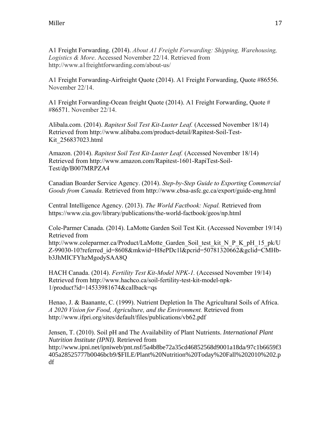A1 Freight Forwarding. (2014). *About A1 Freight Forwarding: Shipping, Warehousing, Logistics & More*. Accessed November 22/14. Retrieved from http://www.a1freightforwarding.com/about-us/

A1 Freight Forwarding-Airfreight Quote (2014). A1 Freight Forwarding, Quote #86556. November 22/14.

A1 Freight Forwarding-Ocean freight Quote (2014). A1 Freight Forwarding, Quote # #86571. November 22/14.

Alibala.com. (2014). *Rapitest Soil Test Kit-Luster Leaf.* (Accessed November 18/14) Retrieved from http://www.alibaba.com/product-detail/Rapitest-Soil-Test-Kit\_256837023.html

Amazon. (2014). *Rapitest Soil Test Kit-Luster Leaf.* (Accessed November 18/14) Retrieved from http://www.amazon.com/Rapitest-1601-RapiTest-Soil-Test/dp/B007MRPZA4

Canadian Boarder Service Agency. (2014). *Step-by-Step Guide to Exporting Commercial Goods from Canada.* Retrieved from http://www.cbsa-asfc.gc.ca/export/guide-eng.html

Central Intelligence Agency. (2013). *The World Factbook: Nepal.* Retrieved from https://www.cia.gov/library/publications/the-world-factbook/geos/np.html

Cole-Parmer Canada. (2014). LaMotte Garden Soil Test Kit. (Accessed November 19/14) Retrieved from http://www.coleparmer.ca/Product/LaMotte\_Garden\_Soil\_test\_kit\_N\_P\_K\_pH\_15\_pk/U

Z-99030-10?referred\_id=8608&mkwid=H8ePDc1l&pcrid=50781320662&gclid=CMHbb3JhMICFYhzMgodySAA8Q

HACH Canada. (2014). *Fertility Test Kit-Model NPK-1.* (Accessed November 19/14) Retrieved from http://www.hachco.ca/soil-fertility-test-kit-model-npk-1/product?id=14533981674&callback=qs

Henao, J. & Baanante, C. (1999). Nutrient Depletion In The Agricultural Soils of Africa. *A 2020 Vision for Food, Agriculture, and the Environment.* Retrieved from http://www.ifpri.org/sites/default/files/publications/vb62.pdf

Jensen, T. (2010). Soil pH and The Availability of Plant Nutrients. *International Plant Nutrition Institute (IPNI).* Retrieved from http://www.ipni.net/ipniweb/pnt.nsf/5a4b8be72a35cd46852568d9001a18da/97c1b6659f3 405a28525777b0046bcb9/\$FILE/Plant%20Nutrition%20Today%20Fall%202010%202.p df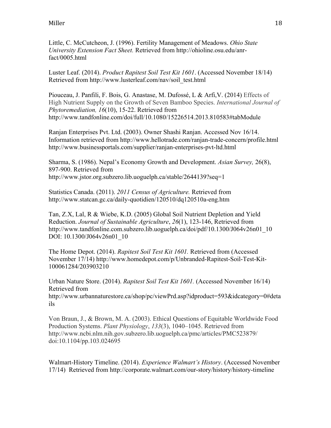Little, C. McCutcheon, J. (1996). Fertility Management of Meadows. *Ohio State University Extension Fact Sheet.* Retrieved from http://ohioline.osu.edu/anrfact/0005.html

Luster Leaf. (2014). *Product Rapitest Soil Test Kit 1601*. (Accessed November 18/14) Retrieved from http://www.lusterleaf.com/nav/soil\_test.html

Piouceau, J. Panfili, F. Bois, G. Anastase, M. Dufossé, L & Arfi,V. (2014) Effects of High Nutrient Supply on the Growth of Seven Bamboo Species. *International Journal of Phytoremediation, 16*(10), 15-22. Retrieved from http://www.tandfonline.com/doi/full/10.1080/15226514.2013.810583#tabModule

Ranjan Enterprises Pvt. Ltd. (2003). Owner Shashi Ranjan. Accessed Nov 16/14. Information retrieved from http://www.hellotrade.com/ranjan-trade-concern/profile.html http://www.businessportals.com/supplier/ranjan-enterprises-pvt-ltd.html

Sharma, S. (1986). Nepal's Economy Growth and Development. *Asian Survey,* 26(8), 897-900. Retrieved from http://www.jstor.org.subzero.lib.uoguelph.ca/stable/2644139?seq=1

Statistics Canada. (2011). *2011 Census of Agriculture.* Retrieved from http://www.statcan.gc.ca/daily-quotidien/120510/dq120510a-eng.htm

Tan, Z.X, Lal, R & Wiebe, K.D. (2005) Global Soil Nutrient Depletion and Yield Reduction. *Journal of Sustainable Agriculture*, *26*(1), 123-146, Retrieved from http://www.tandfonline.com.subzero.lib.uoguelph.ca/doi/pdf/10.1300/J064v26n01\_10 DOI: 10.1300/J064v26n01\_10

The Home Depot. (2014). *Rapitest Soil Test Kit 1601.* Retrieved from (Accessed November 17/14) http://www.homedepot.com/p/Unbranded-Rapitest-Soil-Test-Kit-100061284/203903210

Urban Nature Store. (2014). *Rapitest Soil Test Kit 1601.* (Accessed November 16/14) Retrieved from http://www.urbannaturestore.ca/shop/pc/viewPrd.asp?idproduct=593&idcategory=0#deta ils

Von Braun, J., & Brown, M. A. (2003). Ethical Questions of Equitable Worldwide Food Production Systems. *Plant Physiology*, *133*(3), 1040–1045. Retrieved from http://www.ncbi.nlm.nih.gov.subzero.lib.uoguelph.ca/pmc/articles/PMC523879/ doi:10.1104/pp.103.024695

Walmart-History Timeline. (2014). *Experience Walmart's History*. (Accessed November 17/14) Retrieved from http://corporate.walmart.com/our-story/history/history-timeline